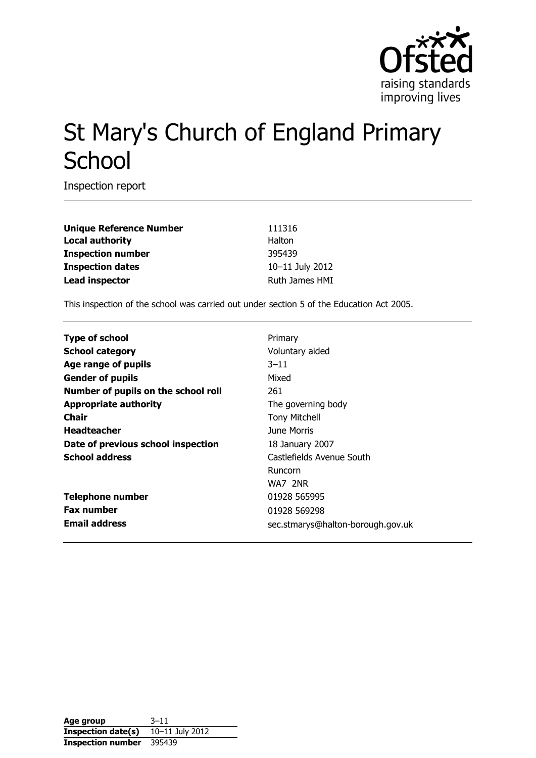

# St Mary's Church of England Primary **School**

Inspection report

| <b>Unique Reference Number</b> | 111316          |
|--------------------------------|-----------------|
| <b>Local authority</b>         | Halton          |
| <b>Inspection number</b>       | 395439          |
| <b>Inspection dates</b>        | 10-11 July 2012 |
| <b>Lead inspector</b>          | Ruth James HMI  |

This inspection of the school was carried out under section 5 of the Education Act 2005.

| <b>Type of school</b>               | Primary                           |
|-------------------------------------|-----------------------------------|
| <b>School category</b>              | Voluntary aided                   |
| Age range of pupils                 | $3 - 11$                          |
| <b>Gender of pupils</b>             | Mixed                             |
| Number of pupils on the school roll | 261                               |
| <b>Appropriate authority</b>        | The governing body                |
| <b>Chair</b>                        | <b>Tony Mitchell</b>              |
| <b>Headteacher</b>                  | June Morris                       |
| Date of previous school inspection  | 18 January 2007                   |
| <b>School address</b>               | Castlefields Avenue South         |
|                                     | Runcorn                           |
|                                     | WA7 2NR                           |
| <b>Telephone number</b>             | 01928 565995                      |
| <b>Fax number</b>                   | 01928 569298                      |
| <b>Email address</b>                | sec.stmarys@halton-borough.gov.uk |

**Age group** 3–11 **Inspection date(s)** 10–11 July 2012 **Inspection number** 395439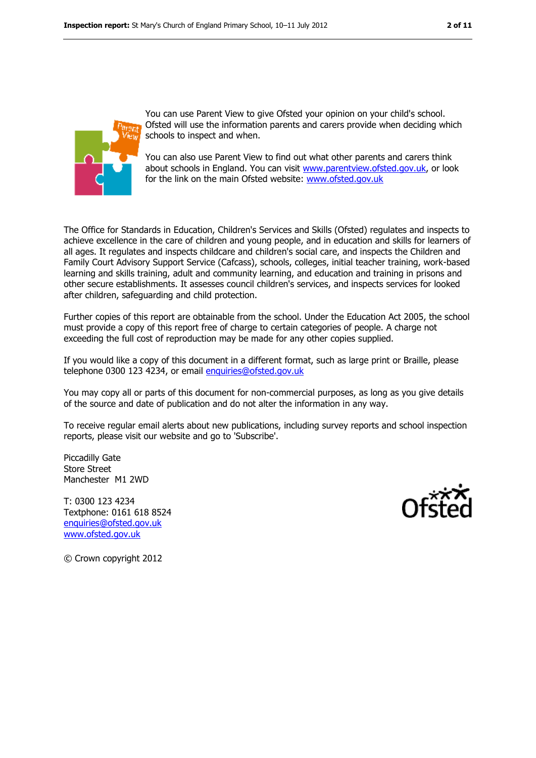

You can use Parent View to give Ofsted your opinion on your child's school. Ofsted will use the information parents and carers provide when deciding which schools to inspect and when.

You can also use Parent View to find out what other parents and carers think about schools in England. You can visit [www.parentview.ofsted.gov.uk,](file:///C:/Users/jbennett/AppData/Local/Temp/notesDA0216/www.parentview.ofsted.gov.uk) or look for the link on the main Ofsted website: [www.ofsted.gov.uk](file:///C:/Users/jbennett/AppData/Local/Temp/notesDA0216/www.ofsted.gov.uk)

The Office for Standards in Education, Children's Services and Skills (Ofsted) regulates and inspects to achieve excellence in the care of children and young people, and in education and skills for learners of all ages. It regulates and inspects childcare and children's social care, and inspects the Children and Family Court Advisory Support Service (Cafcass), schools, colleges, initial teacher training, work-based learning and skills training, adult and community learning, and education and training in prisons and other secure establishments. It assesses council children's services, and inspects services for looked after children, safeguarding and child protection.

Further copies of this report are obtainable from the school. Under the Education Act 2005, the school must provide a copy of this report free of charge to certain categories of people. A charge not exceeding the full cost of reproduction may be made for any other copies supplied.

If you would like a copy of this document in a different format, such as large print or Braille, please telephone 0300 123 4234, or email [enquiries@ofsted.gov.uk](mailto:enquiries@ofsted.gov.uk)

You may copy all or parts of this document for non-commercial purposes, as long as you give details of the source and date of publication and do not alter the information in any way.

To receive regular email alerts about new publications, including survey reports and school inspection reports, please visit our website and go to 'Subscribe'.

Piccadilly Gate Store Street Manchester M1 2WD

T: 0300 123 4234 Textphone: 0161 618 8524 [enquiries@ofsted.gov.uk](mailto:enquiries@ofsted.gov.uk) [www.ofsted.gov.uk](http://www.ofsted.gov.uk/)



© Crown copyright 2012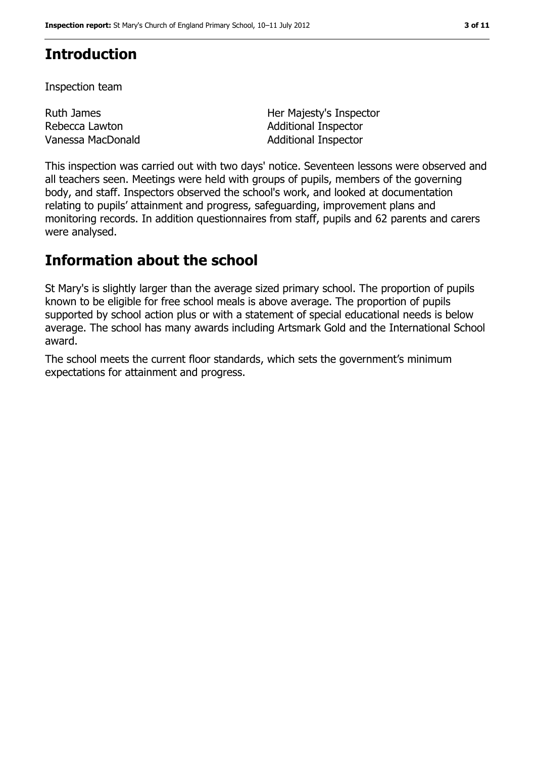## **Introduction**

Inspection team

Ruth James Rebecca Lawton Vanessa MacDonald **Additional Inspector** 

Her Majesty's Inspector Additional Inspector

This inspection was carried out with two days' notice. Seventeen lessons were observed and all teachers seen. Meetings were held with groups of pupils, members of the governing body, and staff. Inspectors observed the school's work, and looked at documentation relating to pupils' attainment and progress, safeguarding, improvement plans and monitoring records. In addition questionnaires from staff, pupils and 62 parents and carers were analysed.

## **Information about the school**

St Mary's is slightly larger than the average sized primary school. The proportion of pupils known to be eligible for free school meals is above average. The proportion of pupils supported by school action plus or with a statement of special educational needs is below average. The school has many awards including Artsmark Gold and the International School award.

The school meets the current floor standards, which sets the government's minimum expectations for attainment and progress.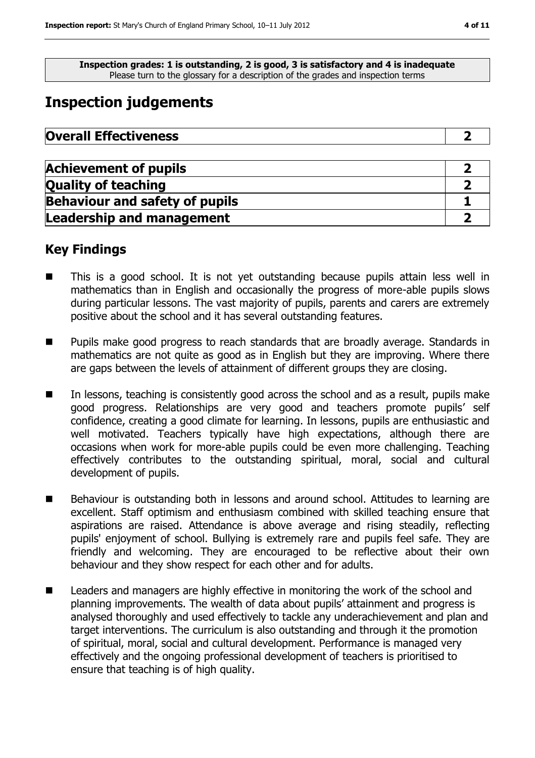**Inspection grades: 1 is outstanding, 2 is good, 3 is satisfactory and 4 is inadequate** Please turn to the glossary for a description of the grades and inspection terms

# **Inspection judgements**

| <b>Overall Effectiveness</b> |  |
|------------------------------|--|
|------------------------------|--|

| <b>Achievement of pupils</b>          |  |
|---------------------------------------|--|
| <b>Quality of teaching</b>            |  |
| <b>Behaviour and safety of pupils</b> |  |
| <b>Leadership and management</b>      |  |

### **Key Findings**

- This is a good school. It is not yet outstanding because pupils attain less well in mathematics than in English and occasionally the progress of more-able pupils slows during particular lessons. The vast majority of pupils, parents and carers are extremely positive about the school and it has several outstanding features.
- **Pupils make good progress to reach standards that are broadly average. Standards in** mathematics are not quite as good as in English but they are improving. Where there are gaps between the levels of attainment of different groups they are closing.
- In lessons, teaching is consistently good across the school and as a result, pupils make good progress. Relationships are very good and teachers promote pupils' self confidence, creating a good climate for learning. In lessons, pupils are enthusiastic and well motivated. Teachers typically have high expectations, although there are occasions when work for more-able pupils could be even more challenging. Teaching effectively contributes to the outstanding spiritual, moral, social and cultural development of pupils.
- Behaviour is outstanding both in lessons and around school. Attitudes to learning are excellent. Staff optimism and enthusiasm combined with skilled teaching ensure that aspirations are raised. Attendance is above average and rising steadily, reflecting pupils' enjoyment of school. Bullying is extremely rare and pupils feel safe. They are friendly and welcoming. They are encouraged to be reflective about their own behaviour and they show respect for each other and for adults.
- Leaders and managers are highly effective in monitoring the work of the school and planning improvements. The wealth of data about pupils' attainment and progress is analysed thoroughly and used effectively to tackle any underachievement and plan and target interventions. The curriculum is also outstanding and through it the promotion of spiritual, moral, social and cultural development. Performance is managed very effectively and the ongoing professional development of teachers is prioritised to ensure that teaching is of high quality.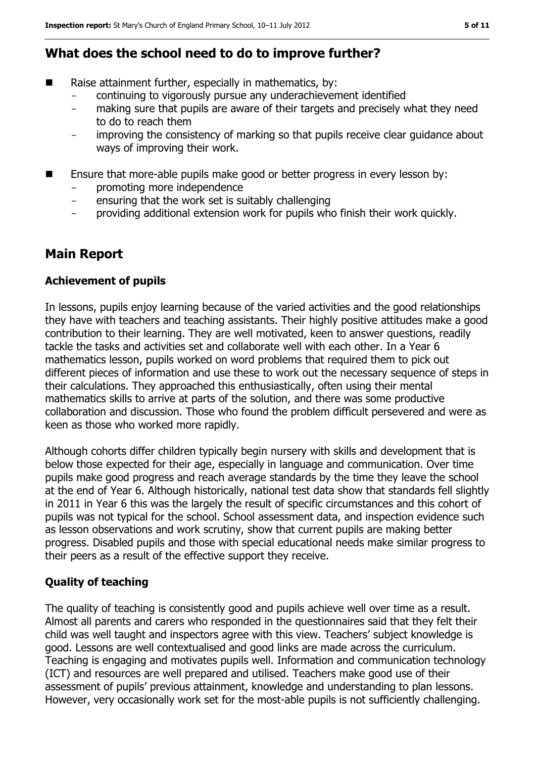### **What does the school need to do to improve further?**

- Raise attainment further, especially in mathematics, by:
	- continuing to vigorously pursue any underachievement identified
	- making sure that pupils are aware of their targets and precisely what they need to do to reach them
	- improving the consistency of marking so that pupils receive clear guidance about ways of improving their work.
- Ensure that more-able pupils make good or better progress in every lesson by:
	- promoting more independence
	- ensuring that the work set is suitably challenging
	- providing additional extension work for pupils who finish their work quickly.

### **Main Report**

#### **Achievement of pupils**

In lessons, pupils enjoy learning because of the varied activities and the good relationships they have with teachers and teaching assistants. Their highly positive attitudes make a good contribution to their learning. They are well motivated, keen to answer questions, readily tackle the tasks and activities set and collaborate well with each other. In a Year 6 mathematics lesson, pupils worked on word problems that required them to pick out different pieces of information and use these to work out the necessary sequence of steps in their calculations. They approached this enthusiastically, often using their mental mathematics skills to arrive at parts of the solution, and there was some productive collaboration and discussion. Those who found the problem difficult persevered and were as keen as those who worked more rapidly.

Although cohorts differ children typically begin nursery with skills and development that is below those expected for their age, especially in language and communication. Over time pupils make good progress and reach average standards by the time they leave the school at the end of Year 6. Although historically, national test data show that standards fell slightly in 2011 in Year 6 this was the largely the result of specific circumstances and this cohort of pupils was not typical for the school. School assessment data, and inspection evidence such as lesson observations and work scrutiny, show that current pupils are making better progress. Disabled pupils and those with special educational needs make similar progress to their peers as a result of the effective support they receive.

### **Quality of teaching**

The quality of teaching is consistently good and pupils achieve well over time as a result. Almost all parents and carers who responded in the questionnaires said that they felt their child was well taught and inspectors agree with this view. Teachers' subject knowledge is good. Lessons are well contextualised and good links are made across the curriculum. Teaching is engaging and motivates pupils well. Information and communication technology (ICT) and resources are well prepared and utilised. Teachers make good use of their assessment of pupils' previous attainment, knowledge and understanding to plan lessons. However, very occasionally work set for the most-able pupils is not sufficiently challenging.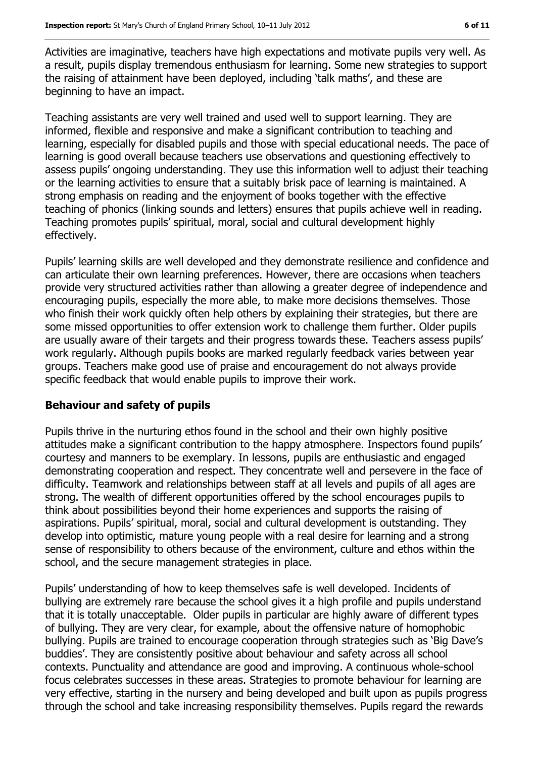Activities are imaginative, teachers have high expectations and motivate pupils very well. As a result, pupils display tremendous enthusiasm for learning. Some new strategies to support the raising of attainment have been deployed, including 'talk maths', and these are beginning to have an impact.

Teaching assistants are very well trained and used well to support learning. They are informed, flexible and responsive and make a significant contribution to teaching and learning, especially for disabled pupils and those with special educational needs. The pace of learning is good overall because teachers use observations and questioning effectively to assess pupils' ongoing understanding. They use this information well to adjust their teaching or the learning activities to ensure that a suitably brisk pace of learning is maintained. A strong emphasis on reading and the enjoyment of books together with the effective teaching of phonics (linking sounds and letters) ensures that pupils achieve well in reading. Teaching promotes pupils' spiritual, moral, social and cultural development highly effectively.

Pupils' learning skills are well developed and they demonstrate resilience and confidence and can articulate their own learning preferences. However, there are occasions when teachers provide very structured activities rather than allowing a greater degree of independence and encouraging pupils, especially the more able, to make more decisions themselves. Those who finish their work quickly often help others by explaining their strategies, but there are some missed opportunities to offer extension work to challenge them further. Older pupils are usually aware of their targets and their progress towards these. Teachers assess pupils' work regularly. Although pupils books are marked regularly feedback varies between year groups. Teachers make good use of praise and encouragement do not always provide specific feedback that would enable pupils to improve their work.

#### **Behaviour and safety of pupils**

Pupils thrive in the nurturing ethos found in the school and their own highly positive attitudes make a significant contribution to the happy atmosphere. Inspectors found pupils' courtesy and manners to be exemplary. In lessons, pupils are enthusiastic and engaged demonstrating cooperation and respect. They concentrate well and persevere in the face of difficulty. Teamwork and relationships between staff at all levels and pupils of all ages are strong. The wealth of different opportunities offered by the school encourages pupils to think about possibilities beyond their home experiences and supports the raising of aspirations. Pupils' spiritual, moral, social and cultural development is outstanding. They develop into optimistic, mature young people with a real desire for learning and a strong sense of responsibility to others because of the environment, culture and ethos within the school, and the secure management strategies in place.

Pupils' understanding of how to keep themselves safe is well developed. Incidents of bullying are extremely rare because the school gives it a high profile and pupils understand that it is totally unacceptable. Older pupils in particular are highly aware of different types of bullying. They are very clear, for example, about the offensive nature of homophobic bullying. Pupils are trained to encourage cooperation through strategies such as 'Big Dave's buddies'. They are consistently positive about behaviour and safety across all school contexts. Punctuality and attendance are good and improving. A continuous whole-school focus celebrates successes in these areas. Strategies to promote behaviour for learning are very effective, starting in the nursery and being developed and built upon as pupils progress through the school and take increasing responsibility themselves. Pupils regard the rewards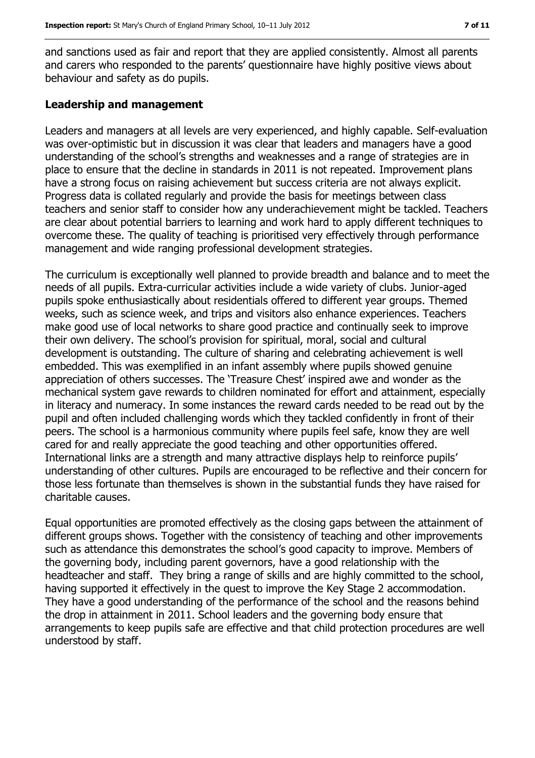and sanctions used as fair and report that they are applied consistently. Almost all parents and carers who responded to the parents' questionnaire have highly positive views about behaviour and safety as do pupils.

#### **Leadership and management**

Leaders and managers at all levels are very experienced, and highly capable. Self-evaluation was over-optimistic but in discussion it was clear that leaders and managers have a good understanding of the school's strengths and weaknesses and a range of strategies are in place to ensure that the decline in standards in 2011 is not repeated. Improvement plans have a strong focus on raising achievement but success criteria are not always explicit. Progress data is collated regularly and provide the basis for meetings between class teachers and senior staff to consider how any underachievement might be tackled. Teachers are clear about potential barriers to learning and work hard to apply different techniques to overcome these. The quality of teaching is prioritised very effectively through performance management and wide ranging professional development strategies.

The curriculum is exceptionally well planned to provide breadth and balance and to meet the needs of all pupils. Extra-curricular activities include a wide variety of clubs. Junior-aged pupils spoke enthusiastically about residentials offered to different year groups. Themed weeks, such as science week, and trips and visitors also enhance experiences. Teachers make good use of local networks to share good practice and continually seek to improve their own delivery. The school's provision for spiritual, moral, social and cultural development is outstanding. The culture of sharing and celebrating achievement is well embedded. This was exemplified in an infant assembly where pupils showed genuine appreciation of others successes. The 'Treasure Chest' inspired awe and wonder as the mechanical system gave rewards to children nominated for effort and attainment, especially in literacy and numeracy. In some instances the reward cards needed to be read out by the pupil and often included challenging words which they tackled confidently in front of their peers. The school is a harmonious community where pupils feel safe, know they are well cared for and really appreciate the good teaching and other opportunities offered. International links are a strength and many attractive displays help to reinforce pupils' understanding of other cultures. Pupils are encouraged to be reflective and their concern for those less fortunate than themselves is shown in the substantial funds they have raised for charitable causes.

Equal opportunities are promoted effectively as the closing gaps between the attainment of different groups shows. Together with the consistency of teaching and other improvements such as attendance this demonstrates the school's good capacity to improve. Members of the governing body, including parent governors, have a good relationship with the headteacher and staff. They bring a range of skills and are highly committed to the school, having supported it effectively in the quest to improve the Key Stage 2 accommodation. They have a good understanding of the performance of the school and the reasons behind the drop in attainment in 2011. School leaders and the governing body ensure that arrangements to keep pupils safe are effective and that child protection procedures are well understood by staff.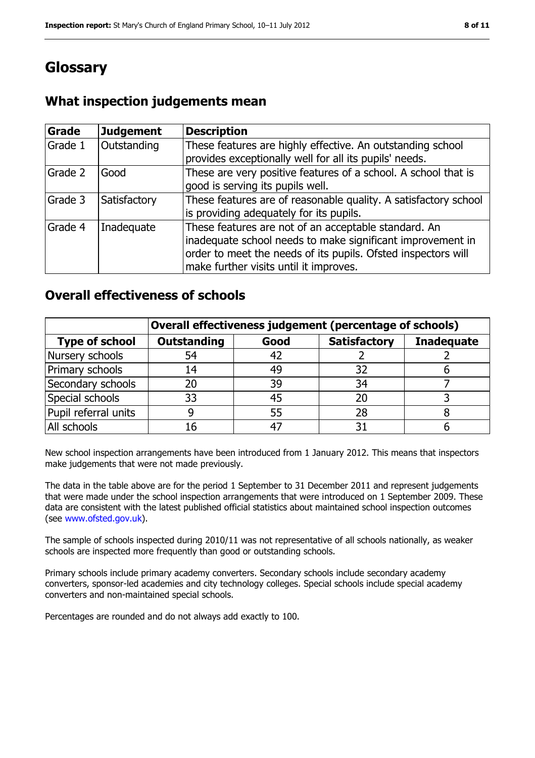# **Glossary**

### **What inspection judgements mean**

| Grade   | <b>Judgement</b> | <b>Description</b>                                                                                                                                                                                                            |
|---------|------------------|-------------------------------------------------------------------------------------------------------------------------------------------------------------------------------------------------------------------------------|
| Grade 1 | Outstanding      | These features are highly effective. An outstanding school<br>provides exceptionally well for all its pupils' needs.                                                                                                          |
| Grade 2 | Good             | These are very positive features of a school. A school that is<br>good is serving its pupils well.                                                                                                                            |
| Grade 3 | Satisfactory     | These features are of reasonable quality. A satisfactory school<br>is providing adequately for its pupils.                                                                                                                    |
| Grade 4 | Inadequate       | These features are not of an acceptable standard. An<br>inadequate school needs to make significant improvement in<br>order to meet the needs of its pupils. Ofsted inspectors will<br>make further visits until it improves. |

### **Overall effectiveness of schools**

|                       | Overall effectiveness judgement (percentage of schools) |      |                     |                   |
|-----------------------|---------------------------------------------------------|------|---------------------|-------------------|
| <b>Type of school</b> | <b>Outstanding</b>                                      | Good | <b>Satisfactory</b> | <b>Inadequate</b> |
| Nursery schools       | 54                                                      |      |                     |                   |
| Primary schools       | 14                                                      | 49   | 32                  |                   |
| Secondary schools     | 20                                                      | 39   | 34                  |                   |
| Special schools       | 33                                                      | 45   | 20                  |                   |
| Pupil referral units  |                                                         | 55   | 28                  |                   |
| All schools           | 16                                                      |      |                     |                   |

New school inspection arrangements have been introduced from 1 January 2012. This means that inspectors make judgements that were not made previously.

The data in the table above are for the period 1 September to 31 December 2011 and represent judgements that were made under the school inspection arrangements that were introduced on 1 September 2009. These data are consistent with the latest published official statistics about maintained school inspection outcomes (see [www.ofsted.gov.uk\)](file:///C:/Users/jbennett/AppData/Local/Temp/notesDA0216/www.ofsted.gov.uk).

The sample of schools inspected during 2010/11 was not representative of all schools nationally, as weaker schools are inspected more frequently than good or outstanding schools.

Primary schools include primary academy converters. Secondary schools include secondary academy converters, sponsor-led academies and city technology colleges. Special schools include special academy converters and non-maintained special schools.

Percentages are rounded and do not always add exactly to 100.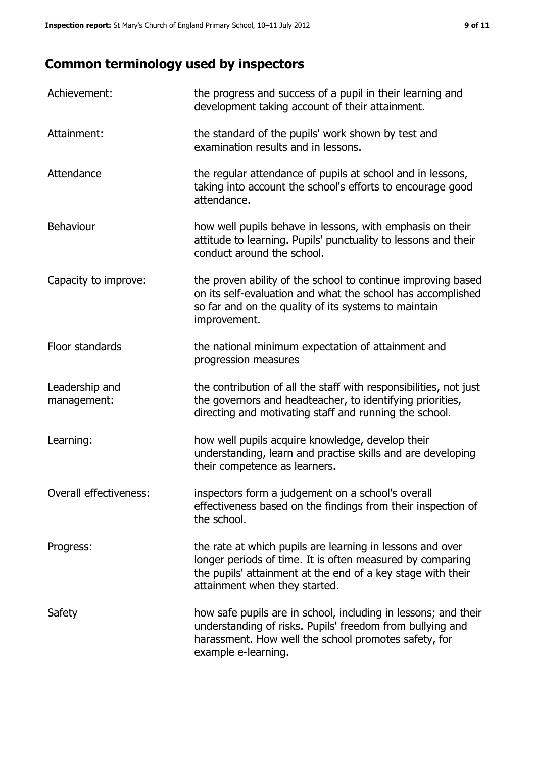# **Common terminology used by inspectors**

| Achievement:                  | the progress and success of a pupil in their learning and<br>development taking account of their attainment.                                                                                                           |
|-------------------------------|------------------------------------------------------------------------------------------------------------------------------------------------------------------------------------------------------------------------|
| Attainment:                   | the standard of the pupils' work shown by test and<br>examination results and in lessons.                                                                                                                              |
| Attendance                    | the regular attendance of pupils at school and in lessons,<br>taking into account the school's efforts to encourage good<br>attendance.                                                                                |
| <b>Behaviour</b>              | how well pupils behave in lessons, with emphasis on their<br>attitude to learning. Pupils' punctuality to lessons and their<br>conduct around the school.                                                              |
| Capacity to improve:          | the proven ability of the school to continue improving based<br>on its self-evaluation and what the school has accomplished<br>so far and on the quality of its systems to maintain<br>improvement.                    |
| Floor standards               | the national minimum expectation of attainment and<br>progression measures                                                                                                                                             |
| Leadership and<br>management: | the contribution of all the staff with responsibilities, not just<br>the governors and headteacher, to identifying priorities,<br>directing and motivating staff and running the school.                               |
| Learning:                     | how well pupils acquire knowledge, develop their<br>understanding, learn and practise skills and are developing<br>their competence as learners.                                                                       |
| Overall effectiveness:        | inspectors form a judgement on a school's overall<br>effectiveness based on the findings from their inspection of<br>the school.                                                                                       |
| Progress:                     | the rate at which pupils are learning in lessons and over<br>longer periods of time. It is often measured by comparing<br>the pupils' attainment at the end of a key stage with their<br>attainment when they started. |
| Safety                        | how safe pupils are in school, including in lessons; and their<br>understanding of risks. Pupils' freedom from bullying and<br>harassment. How well the school promotes safety, for<br>example e-learning.             |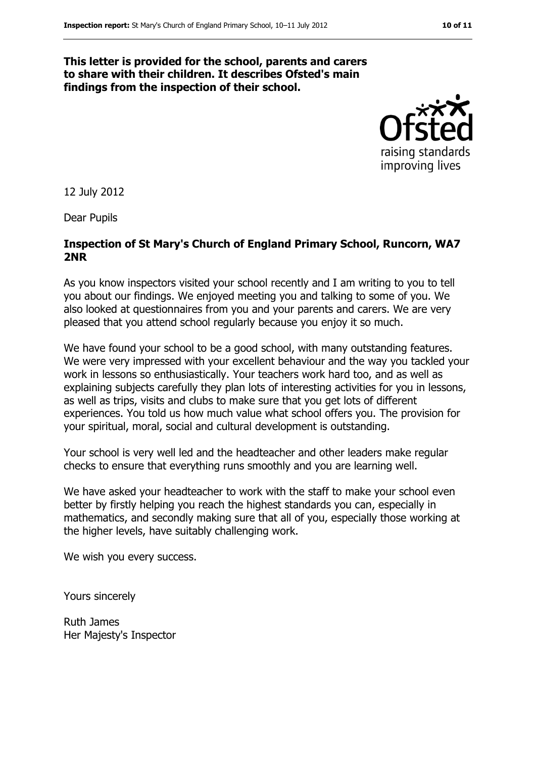#### **This letter is provided for the school, parents and carers to share with their children. It describes Ofsted's main findings from the inspection of their school.**



12 July 2012

Dear Pupils

#### **Inspection of St Mary's Church of England Primary School, Runcorn, WA7 2NR**

As you know inspectors visited your school recently and I am writing to you to tell you about our findings. We enjoyed meeting you and talking to some of you. We also looked at questionnaires from you and your parents and carers. We are very pleased that you attend school regularly because you enjoy it so much.

We have found your school to be a good school, with many outstanding features. We were very impressed with your excellent behaviour and the way you tackled your work in lessons so enthusiastically. Your teachers work hard too, and as well as explaining subjects carefully they plan lots of interesting activities for you in lessons, as well as trips, visits and clubs to make sure that you get lots of different experiences. You told us how much value what school offers you. The provision for your spiritual, moral, social and cultural development is outstanding.

Your school is very well led and the headteacher and other leaders make regular checks to ensure that everything runs smoothly and you are learning well.

We have asked your headteacher to work with the staff to make your school even better by firstly helping you reach the highest standards you can, especially in mathematics, and secondly making sure that all of you, especially those working at the higher levels, have suitably challenging work.

We wish you every success.

Yours sincerely

Ruth James Her Majesty's Inspector